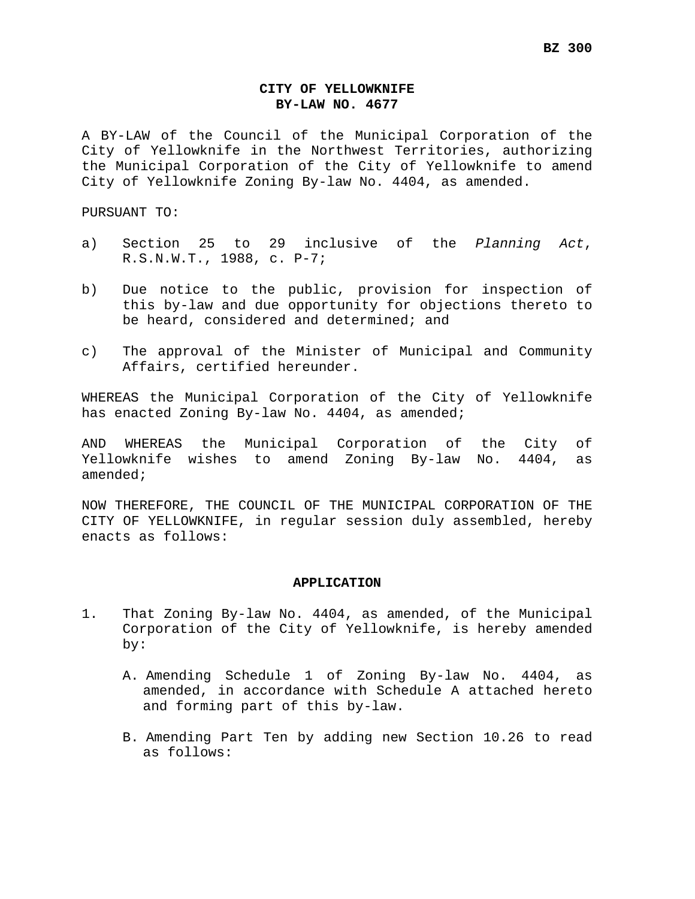## **CITY OF YELLOWKNIFE BY-LAW NO. 4677**

A BY-LAW of the Council of the Municipal Corporation of the City of Yellowknife in the Northwest Territories, authorizing the Municipal Corporation of the City of Yellowknife to amend City of Yellowknife Zoning By-law No. 4404, as amended.

PURSUANT TO:

- a) Section 25 to 29 inclusive of the *Planning Act*, R.S.N.W.T., 1988, c. P-7;
- b) Due notice to the public, provision for inspection of this by-law and due opportunity for objections thereto to be heard, considered and determined; and
- c) The approval of the Minister of Municipal and Community Affairs, certified hereunder.

WHEREAS the Municipal Corporation of the City of Yellowknife has enacted Zoning By-law No. 4404, as amended;

AND WHEREAS the Municipal Corporation of the City of Yellowknife wishes to amend Zoning By-law No. 4404, as amended;

NOW THEREFORE, THE COUNCIL OF THE MUNICIPAL CORPORATION OF THE CITY OF YELLOWKNIFE, in regular session duly assembled, hereby enacts as follows:

## **APPLICATION**

- 1. That Zoning By-law No. 4404, as amended, of the Municipal Corporation of the City of Yellowknife, is hereby amended by:
	- A. Amending Schedule 1 of Zoning By-law No. 4404, as amended, in accordance with Schedule A attached hereto and forming part of this by-law.
	- B. Amending Part Ten by adding new Section 10.26 to read as follows: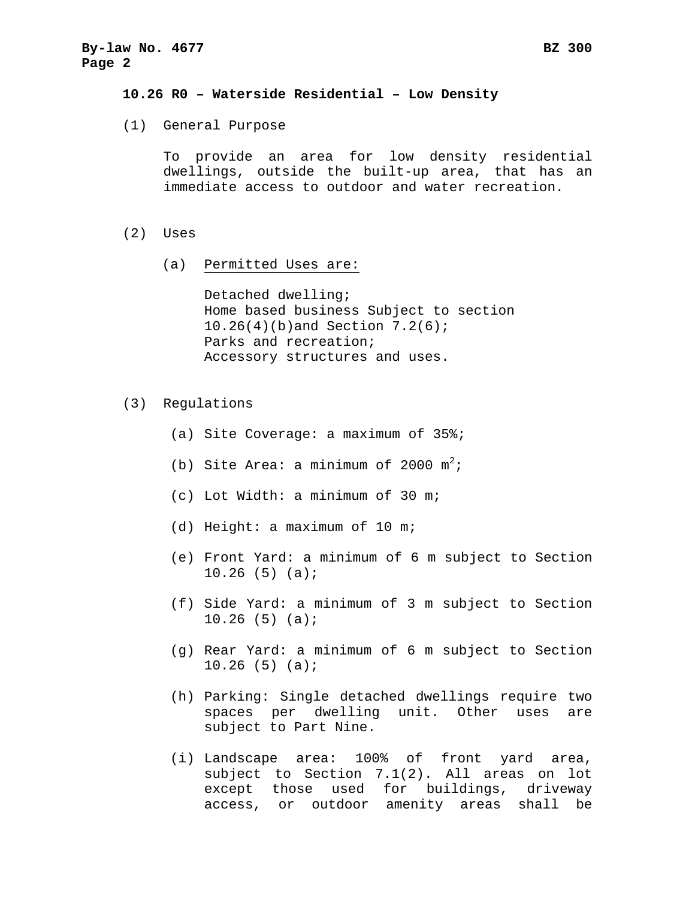## **10.26 R0 – Waterside Residential – Low Density**

(1) General Purpose

To provide an area for low density residential dwellings, outside the built-up area, that has an immediate access to outdoor and water recreation.

- (2) Uses
	- (a) Permitted Uses are:

Detached dwelling; Home based business Subject to section 10.26(4)(b)and Section 7.2(6); Parks and recreation; Accessory structures and uses.

- (3) Regulations
	- (a) Site Coverage: a maximum of 35%;
	- (b) Site Area: a minimum of 2000  $m^2$ ;
	- (c) Lot Width: a minimum of 30 m;
	- (d) Height: a maximum of 10 m;
	- (e) Front Yard: a minimum of 6 m subject to Section 10.26 (5) (a);
	- (f) Side Yard: a minimum of 3 m subject to Section 10.26 (5) (a);
	- (g) Rear Yard: a minimum of 6 m subject to Section 10.26 (5) (a);
	- (h) Parking: Single detached dwellings require two spaces per dwelling unit. Other uses are subject to Part Nine.
	- (i) Landscape area: 100% of front yard area, subject to Section 7.1(2). All areas on lot except those used for buildings, driveway access, or outdoor amenity areas shall be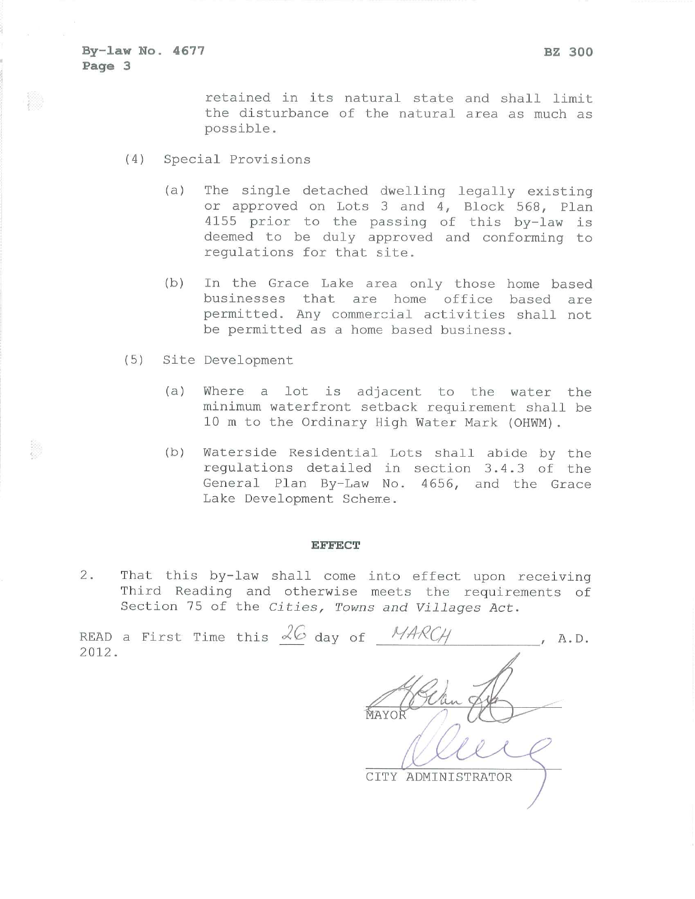retained in its natural state and shall limit the disturbance of the natural area as much as possible.

- $(4)$ Special Provisions
	- The single detached dwelling legally existing  $(a)$ or approved on Lots 3 and 4, Block 568, Plan 4155 prior to the passing of this by-law is deemed to be duly approved and conforming to regulations for that site.
	- $(b)$ In the Grace Lake area only those home based businesses that are home office based are permitted. Any commercial activities shall not be permitted as a home based business.
- $(5)$ Site Development
	- $(a)$ Where a lot is adjacent to the water the minimum waterfront setback requirement shall be 10 m to the Ordinary High Water Mark (OHWM).
	- $(b)$ Waterside Residential Lots shall abide by the regulations detailed in section 3.4.3 of the General Plan By-Law No. 4656, and the Grace Lake Development Scheme.

## **EFFECT**

 $2.$ That this by-law shall come into effect upon receiving Third Reading and otherwise meets the requirements of Section 75 of the Cities, Towns and Villages Act.

READ a First Time this  $\&\mathcal{C}$  day of MAR  $A$ . D. 2012. **MAYO** CITY ADMINISTRATOR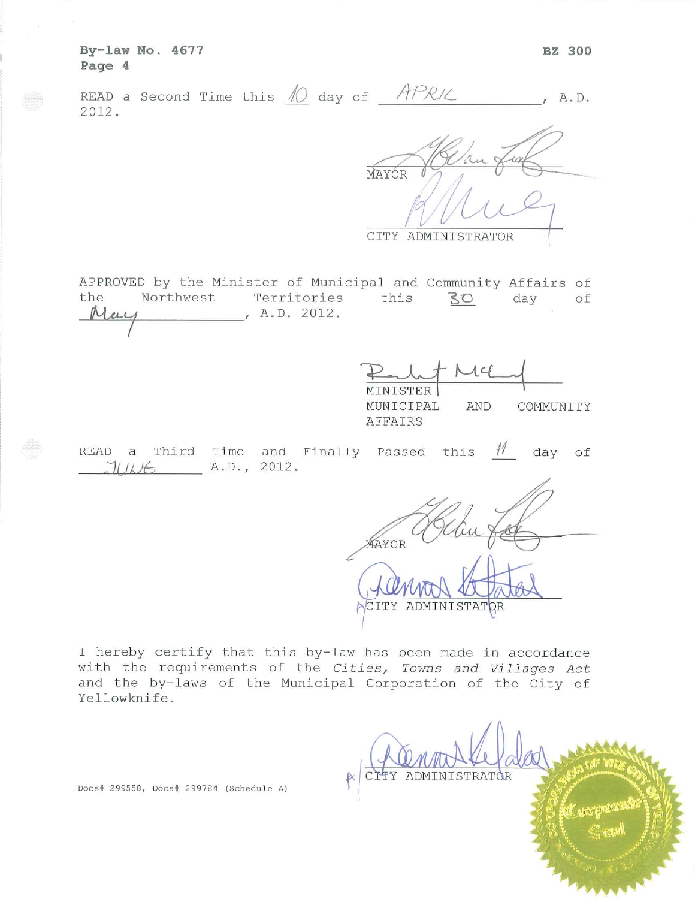By-law No. 4677 Page 4

|       |  |  |  | READ a Second Time this $\mathcal N$ day of $\mathcal{APRL}$ |  |
|-------|--|--|--|--------------------------------------------------------------|--|
| 2012. |  |  |  |                                                              |  |

MAYÓR

CITY ADMINISTRATOR

APPROVED by the Minister of Municipal and Community Affairs of the Northwest Territories this 30 day of , A.D. 2012. May

| MINISTER  |     |           |
|-----------|-----|-----------|
| MUNICIPAL | AND | COMMUNITY |
| AFFATRS   |     |           |

READ a Third Time and Finally Passed this  $M$  day of  $JUNE$   $A.D., 2012.$ 

MAYOR CITY ADMINISTATOR

I hereby certify that this by-law has been made in accordance with the requirements of the Cities, Towns and Villages Act and the by-laws of the Municipal Corporation of the City of Yellowknife.

ADMINISTRATOR

Docs# 299558, Docs# 299784 (Schedule A)